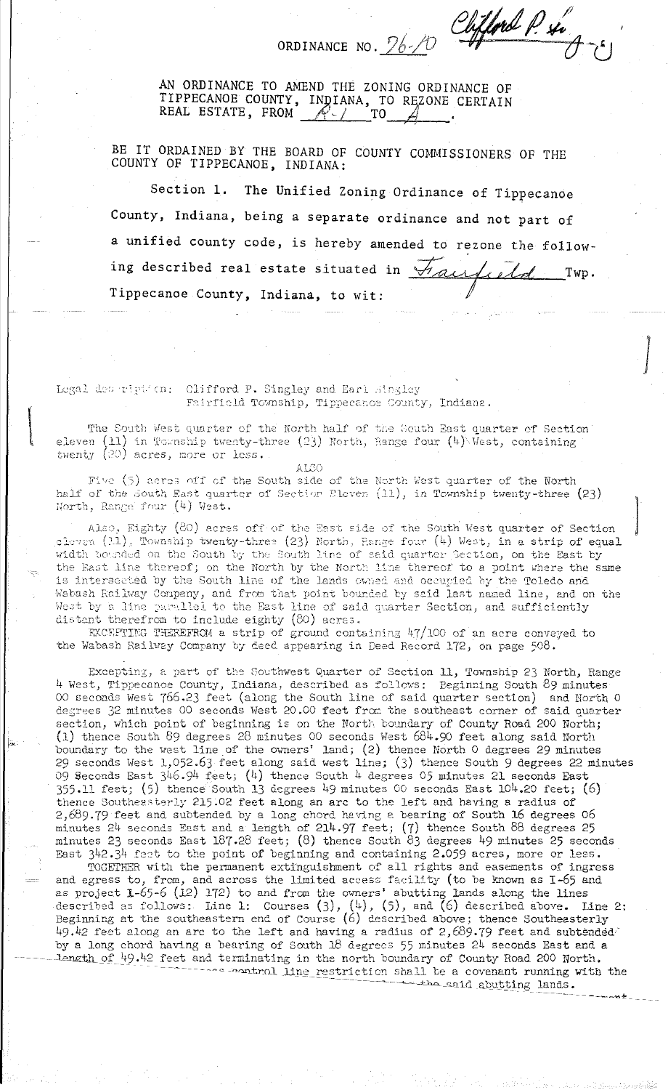ORDINANCE NO. 26-10 Clifford P. v.

AN ORDINANCE TO AMEND THE ZONING ORDINANCE OF TIPPECANOE COUNTY, INDIANA, TO REZONE CERTAIN REAL ESTATE, FROM ALL TO

BE IT ORDAINED BY THE BOARD OF COUNTY COMMISSIONERS OF THE COUNTY OF TIPPECANOE, INDIANA:

Section 1. The Unified Zoning Ordinance of Tippecanoe County, Indiana, being a separate ordinance and not part of a unified county code, is hereby amended to rezone the following described real estate situated in *haufeld* Twp. Tippecanoe County, Indiana, to wit:

Legal des rigtion: Clifford P. Singley and Earl Singley Fairfield Township, Tippecanoe County, Indiana.

The South West quarter of the North half of the South East quarter of Section eleven (11) in Township twenty-three (23) North, Range four (4) West, containing twenty  $(20)$  acres, more or less.

ALCO

Five (5) acres off of the South side of the North West quarter of the North half of the South East quarter of Section Eleven (11), in Township twenty-three (23) North, Range four (4) West.

Also, Fighty (80) acres off of the East side of the South West quarter of Section eleven  $(21)$ , Township twenty-three (23) North, Range four (4) West, in a strip of equal width bounded on the South by the South line of said quarter Section, on the East by the Rast line thereof; on the North by the North line thereof to a point where the same is intersected by the South line of the lands owned and occupied by the Toledo and Wabash Railway Company, and from that point bounded by said last named line, and on the West by a line parallel to the East line of said quarter Section, and sufficiently distant therefrom to include eighty (80) acres.

EXCEPTING THEREFROM a strip of ground containing 47/100 of an acre conveyed to the Wabash Railway Company by deed appearing in Deed Record 172, on page 508.

Excepting, a part of the Southwest Quarter of Section 11, Township 23 North, Range 4 West, Tippecanoe County, Indiana, described as follows: Beginning South 89 minutes 00 seconds West 766.23 feet (along the South line of said quarter section) and North 0 degrees 32 minutes 00 seconds West 20.00 feet from the southeast corner of said quarter section, which point of beginning is on the North boundary of County Road 200 North; (1) thence South 89 degrees 28 minutes 00 seconds West 684.90 feet along said North boundary to the west line of the owners' land; (2) thence North 0 degrees 29 minutes 29 seconds West 1,052.63 feet along said west line; (3) thence South 9 degrees 22 minutes 09 Seconds East  $346.94$  feet; (4) thence South 4 degrees 05 minutes 21 seconds East 355.11 feet; (5) thence South 13 degrees 49 minutes 00 seconds East 104.20 feet; (6) thence Southeasterly 215.02 feet along an arc to the left and having a radius of 2,689.79 feet and subtended by a long chord having a bearing of South 16 degrees 06 minutes 24 seconds East and a length of 214.97 feet; (7) thence South 88 degrees 25 minutes 23 seconds East 187.28 feet; (8) thence South 83 degrees 49 minutes 25 seconds East 342.34 feet to the point of beginning and containing 2.059 acres, more or less. TOGETHER with the permanent extinguishment of all rights and easements of ingress and egress to, from, and across the limited access facility (to be known as I-65 and as project  $1-65-6$  (12) 172) to and from the owners' abutting lands along the lines<br>described as follows: Line 1: Courses (3), (4), (5), and (6) described above. Line 2:<br>Beginning at the southeastern end of Course (6) de 49.42 feet along an arc to the left and having a radius of 2,689.79 feet and subtended by a long chord having a bearing of South 18 degrees 55 minutes 24 seconds East and a length of 49.42 feet and terminating in the north boundary of County Road 200 North. The control ling restriction shall be a covenant running with the the said abutting lands.